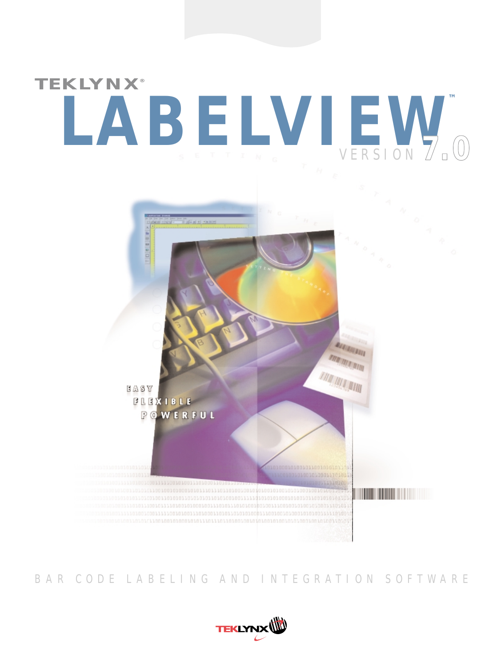# *Version 6.0* **LABELVIEW ™** VERSION **7.0 TEKLYNX®**



## BAR CODE LABELING AND INTEGRATION SOFTWARE

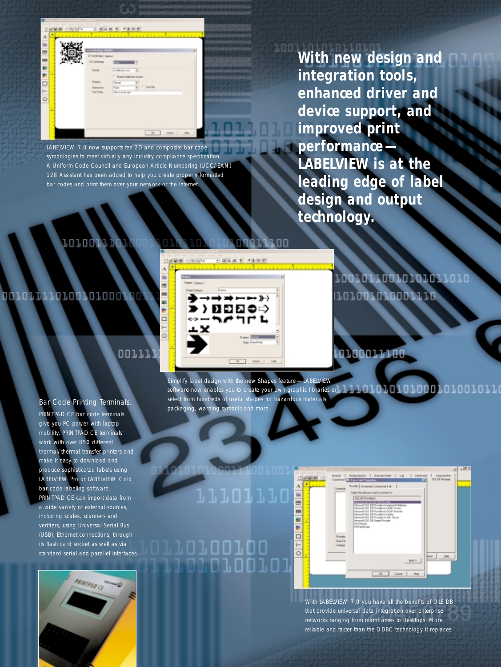| A<br>in 11                     | 10 brinks   ispini                                                      |                                                                                                                                          |  |
|--------------------------------|-------------------------------------------------------------------------|------------------------------------------------------------------------------------------------------------------------------------------|--|
| E<br>解き<br>$\Box$<br>$ -$<br>Ò | 30 limitatus<br>Tende<br><b>Future</b><br><b>Telestera</b><br>Tel Tring | r.<br>14 AMB/Wy could<br>$\rightarrow$<br>[7] ResolutionSystem System<br><b>Home</b><br>$\frac{1}{n}$ rank<br>Peer<br>The American State |  |

LABELVIEW 7.0 now supports ten 2D and composite bar code symbologies to meet virtually any industry compliance specification. A Uniform Code Council and European Article Numbering (UCC/EAN) 128 Assistant has been added to help you create properly formatted bar codes and print them over your network or the Internet.

**With new design and integration tools, enhanced driver and device support, and improved print performance— LABELVIEW is at the leading edge of label design and output technology.**

## 10100114

## 0010111101001010001

## ננגמם

Bar Code Printing Terminals. PRINTPAD CE bar code terminals give you PC power with laptop mobility. PRINTPAD CE terminals work with over 850 different thermal/thermal transfer printers and make it easy to download and produce sophisticated labels using LABELVIEW Pro or LABELVIEW Gold bar code labeling software. PRINTPAD CE can import data from a wide variety of external sources, including scales, scanners and verifiers, using Universal Serial Bus (USB), Ethernet connections, through its flash card socket as well as via standard serial and parallel interfaces.





10010110010101011010 101001010001110

## 10100011100

Simplify label design with the new Shapes feature—LABELVIEW

software now enables you to create your own graphic libraries or select from hundreds of useful shapes for hazardous materials, packaging, warning symbols and more.

### $\frac{\Lambda}{m}$ 11101110 E ā  $\overline{\square}$  $\overline{1}$ nn i nn  $\overline{\circ}$ וחוח

|                                            | Since   Paragramos   Biocervalle   Lis   Determine   Computible<br><b>ILETA Navage</b><br>Considered a little live interest<br>м                                                                                                         |
|--------------------------------------------|------------------------------------------------------------------------------------------------------------------------------------------------------------------------------------------------------------------------------------------|
| Coremote                                   | Pimide   Escaptia:   III-awat   III  <br>Trake it that daily price want for convencion<br><b>TILE THE PICKWOOD</b><br>Children Fuldeland<br><b>CON Brian</b><br>Arrest Made<br>and a construction of the<br>Haronah OLE 28 EmployMounder |
| Pontier<br><b>Basilis</b><br><b>Gastra</b> | <b>Millena</b>                                                                                                                                                                                                                           |
|                                            | POL 34<br>Seat 11<br>(a) Canal R4                                                                                                                                                                                                        |

With LABELVIEW 7.0 you have all the benefits of OLE DB that provide universal data integration over enterprise networks ranging from mainframes to desktops. More reliable and faster than the ODBC technology it replaces.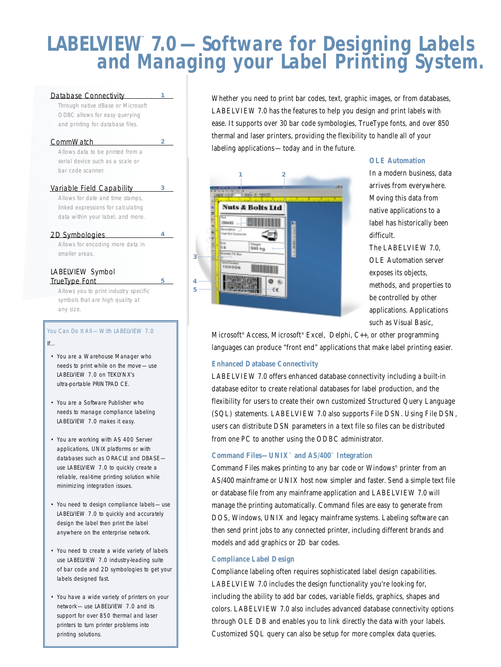## **LABELVIEW™ 7.0—Software for Designing Labels and Managing your Label Printing System.**

#### Database Connectivity

Through native dBase or Microsoft ODBC allows for easy querying and printing for database files.

**1**

**2**

**3**

**4**

**5**

#### **CommWatch**

Allows data to be printed from a serial device such as a scale or bar code scanner.

#### Variable Field Capability Allows for date and time stamps, linked expressions for calculating data within your label, and more.

#### 2D Symbologies

Allows for encoding more data in smaller areas.

#### LABELVIEW Symbol TrueType Font

Allows you to print industry specific symbols that are high quality at any size.

#### You Can Do It All-With LABELVIEW 7.0 If…

- You are a Warehouse Manager who needs to print while on the move—use LABELVIEW 7.0 on TEKLYNX's ultra-portable PRINTPAD CE.
- You are a Software Publisher who needs to manage compliance labeling LABELVIEW 7.0 makes it easy.
- You are working with AS 400 Server applications, UNIX platforms or with databases such as ORACLE and DBASE use LABELVIEW 7.0 to quickly create a reliable, real-time printing solution while minimizing integration issues.
- You need to design compliance labels—use LABELVIEW 7.0 to quickly and accurately design the label then print the label anywhere on the enterprise network.
- You need to create a wide variety of labels use LABELVIEW 7.0 industry-leading suite of bar code and 2D symbologies to get your labels designed fast.
- You have a wide variety of printers on your network—use LABELVIEW 7.0 and its support for over 850 thermal and laser printers to turn printer problems into printing solutions.

Whether you need to print bar codes, text, graphic images, or from databases, LABELVIEW 7.0 has the features to help you design and print labels with ease. It supports over 30 bar code symbologies, TrueType fonts, and over 850 thermal and laser printers, providing the flexibility to handle all of your labeling applications—today and in the future.



#### **OLE Automation**

In a modern business, data arrives from everywhere. Moving this data from native applications to a label has historically been difficult.

The LABELVIEW 7.0, OLE Automation server exposes its objects, methods, and properties to be controlled by other applications. Applications such as Visual Basic,

Microsoft® Access, Microsoft® Excel, Delphi, C++, or other programming languages can produce "front end" applications that make label printing easier.

#### **Enhanced Database Connectivity**

LABELVIEW 7.0 offers enhanced database connectivity including a built-in database editor to create relational databases for label production, and the flexibility for users to create their own customized Structured Query Language (SQL) statements. LABELVIEW 7.0 also supports File DSN. Using File DSN, users can distribute DSN parameters in a text file so files can be distributed from one PC to another using the ODBC administrator.

#### **Command Files—UNIX™ and AS/400™ Integration**

Command Files makes printing to any bar code or Windows® printer from an AS/400 mainframe or UNIX host now simpler and faster. Send a simple text file or database file from any mainframe application and LABELVIEW 7.0 will manage the printing automatically. Command files are easy to generate from DOS, Windows, UNIX and legacy mainframe systems. Labeling software can then send print jobs to any connected printer, including different brands and models and add graphics or 2D bar codes.

#### **Compliance Label Design**

Compliance labeling often requires sophisticated label design capabilities. LABELVIEW 7.0 includes the design functionality you're looking for, including the ability to add bar codes, variable fields, graphics, shapes and colors. LABELVIEW 7.0 also includes advanced database connectivity options through OLE DB and enables you to link directly the data with your labels. Customized SQL query can also be setup for more complex data queries.